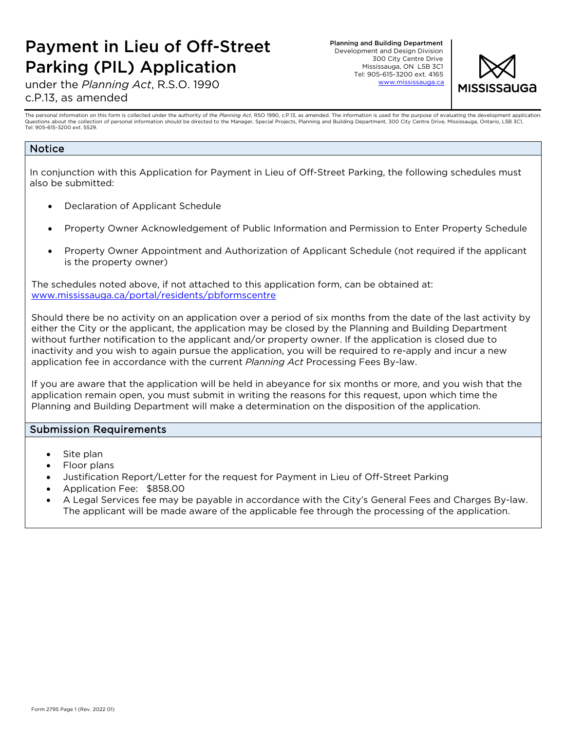# Payment in Lieu of Off-Street Parking (PIL) Application

Planning and Building Department Development and Design Division 300 City Centre Drive Mississauga, ON L5B 3C1 Tel: 905-615-3200 ext. 4165 www.mississauga.ca



under the *Planning Act*, R.S.O. 1990 c.P.13, as amended

The personal information on this form is collected under the authority of the *Planning Act*, RSO 1990, c.P.13, as amended. The information is used for the purpose of evaluating the development application.<br>Questions about Tel: 905-615-3200 ext. 5529.

### Notice

In conjunction with this Application for Payment in Lieu of Off-Street Parking, the following schedules must also be submitted:

- Declaration of Applicant Schedule
- Property Owner Acknowledgement of Public Information and Permission to Enter Property Schedule
- Property Owner Appointment and Authorization of Applicant Schedule (not required if the applicant is the property owner)

The schedules noted above, if not attached to this application form, can be obtained at: [www.mississauga.ca/portal/residents/pbformscentre](http://www.mississauga.ca/portal/residents/pbformscentre)

Should there be no activity on an application over a period of six months from the date of the last activity by either the City or the applicant, the application may be closed by the Planning and Building Department without further notification to the applicant and/or property owner. If the application is closed due to inactivity and you wish to again pursue the application, you will be required to re-apply and incur a new application fee in accordance with the current *Planning Act* Processing Fees By-law.

If you are aware that the application will be held in abeyance for six months or more, and you wish that the application remain open, you must submit in writing the reasons for this request, upon which time the Planning and Building Department will make a determination on the disposition of the application.

### Submission Requirements

- Site plan
- Floor plans
- Justification Report/Letter for the request for Payment in Lieu of Off-Street Parking
- Application Fee: \$858.00
- A Legal Services fee may be payable in accordance with the City's General Fees and Charges By-law. The applicant will be made aware of the applicable fee through the processing of the application.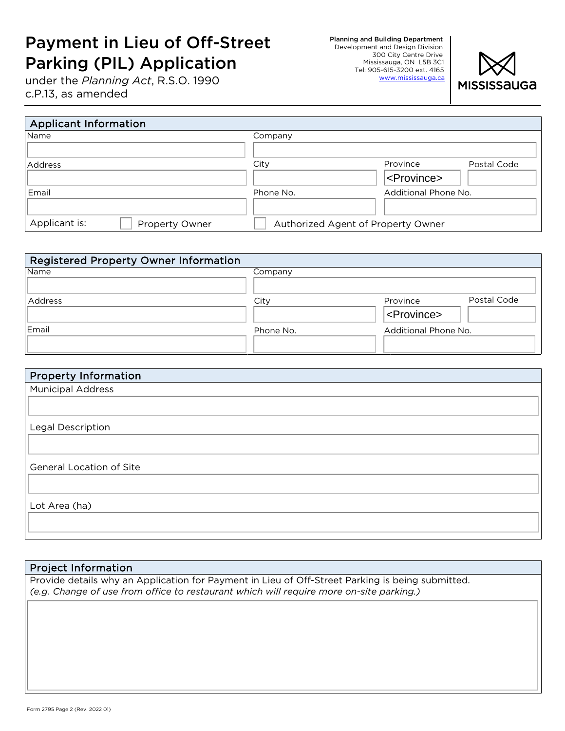# Payment in Lieu of Off-Street Parking (PIL) Application

under the *Planning Act*, R.S.O. 1990 c.P.13, as amended

Planning and Building Department Development and Design Division 300 City Centre Drive Mississauga, ON L5B 3C1 Tel: 905-615-3200 ext. 4165 www.mississauga.ca



| <b>Applicant Information</b>    |                                    |                         |
|---------------------------------|------------------------------------|-------------------------|
| <b>Name</b>                     | Company                            |                         |
|                                 |                                    |                         |
| Address                         | City                               | Province<br>Postal Code |
|                                 |                                    | <province></province>   |
| Email                           | Phone No.                          | Additional Phone No.    |
|                                 |                                    |                         |
| Applicant is:<br>Property Owner | Authorized Agent of Property Owner |                         |

| <b>Registered Property Owner Information</b> |           |                         |
|----------------------------------------------|-----------|-------------------------|
| Name                                         | Company   |                         |
|                                              |           |                         |
| Address                                      | City      | Postal Code<br>Province |
|                                              |           | <province></province>   |
| Email                                        | Phone No. | Additional Phone No.    |
|                                              |           |                         |

| <b>Property Information</b>     |
|---------------------------------|
| <b>Municipal Address</b>        |
|                                 |
|                                 |
| Legal Description               |
|                                 |
|                                 |
| <b>General Location of Site</b> |
|                                 |
|                                 |
| Lot Area (ha)                   |
|                                 |
|                                 |

### Project Information

Provide details why an Application for Payment in Lieu of Off-Street Parking is being submitted. *(e.g. Change of use from office to restaurant which will require more on-site parking.)*